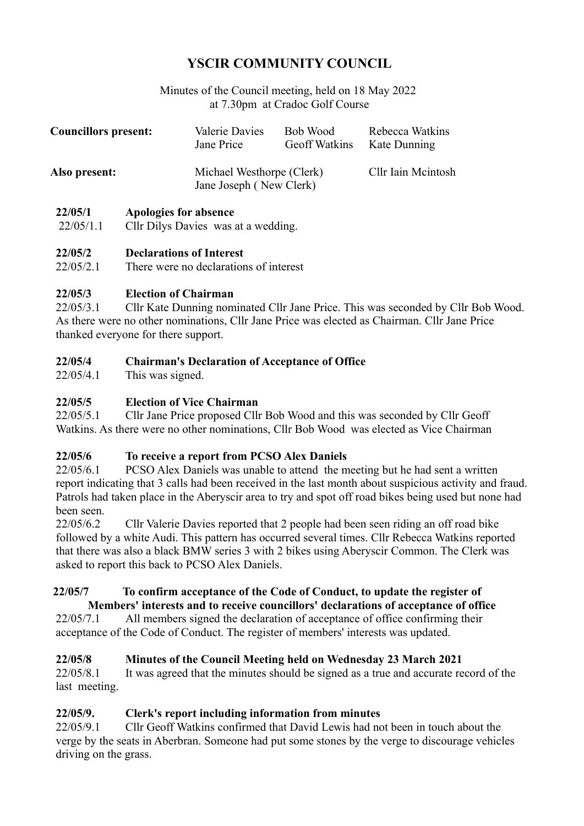# **YSCIR COMMUNITY COUNCIL**

Minutes of the Council meeting, held on 18 May 2022 at 7.30pm at Cradoc Golf Course

| <b>Councillors present:</b> | Valerie Davies                                       | Bob Wood             | Rebecca Watkins    |
|-----------------------------|------------------------------------------------------|----------------------|--------------------|
|                             | Jane Price                                           | <b>Geoff Watkins</b> | Kate Dunning       |
| Also present:               | Michael Westhorpe (Clerk)<br>Jane Joseph (New Clerk) |                      | Cllr Iain Meintosh |

## **22/05/1 Apologies for absence**

22/05/1.1 Cllr Dilys Davies was at a wedding.

### **22/05/2 Declarations of Interest**

22/05/2.1 There were no declarations of interest

#### **22/05/3 Election of Chairman**

22/05/3.1 Cllr Kate Dunning nominated Cllr Jane Price. This was seconded by Cllr Bob Wood. As there were no other nominations, Cllr Jane Price was elected as Chairman. Cllr Jane Price thanked everyone for there support.

### **22/05/4 Chairman's Declaration of Acceptance of Office**

22/05/4.1 This was signed.

### **22/05/5 Election of Vice Chairman**

22/05/5.1 Cllr Jane Price proposed Cllr Bob Wood and this was seconded by Cllr Geoff Watkins. As there were no other nominations, Cllr Bob Wood was elected as Vice Chairman

### **22/05/6 To receive a report from PCSO Alex Daniels**

22/05/6.1 PCSO Alex Daniels was unable to attend the meeting but he had sent a written report indicating that 3 calls had been received in the last month about suspicious activity and fraud. Patrols had taken place in the Aberyscir area to try and spot off road bikes being used but none had been seen.

22/05/6.2 Cllr Valerie Davies reported that 2 people had been seen riding an off road bike followed by a white Audi. This pattern has occurred several times. Cllr Rebecca Watkins reported that there was also a black BMW series 3 with 2 bikes using Aberyscir Common. The Clerk was asked to report this back to PCSO Alex Daniels.

#### **22/05/7 To confirm acceptance of the Code of Conduct, to update the register of Members' interests and to receive councillors' declarations of acceptance of office**

22/05/7.1 All members signed the declaration of acceptance of office confirming their acceptance of the Code of Conduct. The register of members' interests was updated.

## **22/05/8 Minutes of the Council Meeting held on Wednesday 23 March 2021**

22/05/8.1 It was agreed that the minutes should be signed as a true and accurate record of the last meeting.

## **22/05/9. Clerk's report including information from minutes**

22/05/9.1 Cllr Geoff Watkins confirmed that David Lewis had not been in touch about the verge by the seats in Aberbran. Someone had put some stones by the verge to discourage vehicles driving on the grass.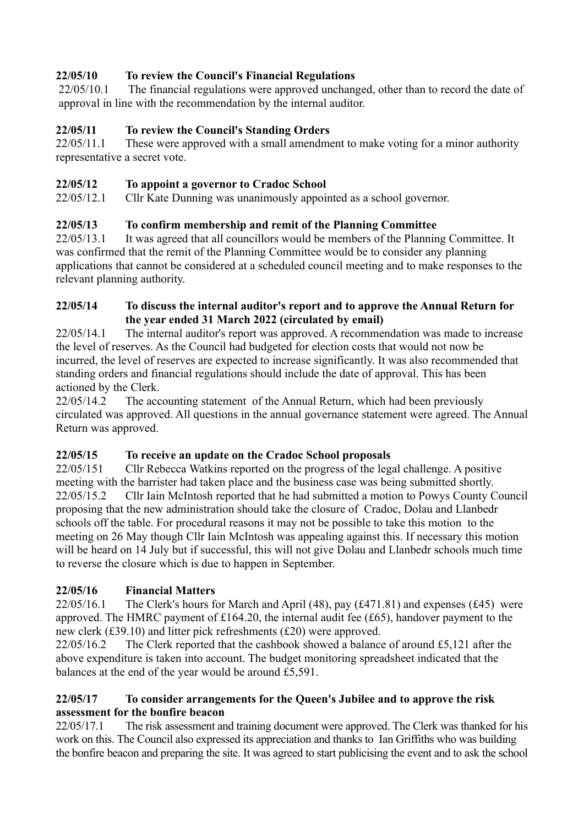# **22/05/10 To review the Council's Financial Regulations**

22/05/10.1 The financial regulations were approved unchanged, other than to record the date of approval in line with the recommendation by the internal auditor.

# **22/05/11 To review the Council's Standing Orders**

22/05/11.1 These were approved with a small amendment to make voting for a minor authority representative a secret vote.

# **22/05/12 To appoint a governor to Cradoc School**

22/05/12.1 Cllr Kate Dunning was unanimously appointed as a school governor.

# **22/05/13 To confirm membership and remit of the Planning Committee**

22/05/13.1 It was agreed that all councillors would be members of the Planning Committee. It was confirmed that the remit of the Planning Committee would be to consider any planning applications that cannot be considered at a scheduled council meeting and to make responses to the relevant planning authority.

## **22/05/14 To discuss the internal auditor's report and to approve the Annual Return for the year ended 31 March 2022 (circulated by email)**

22/05/14.1 The internal auditor's report was approved. A recommendation was made to increase the level of reserves. As the Council had budgeted for election costs that would not now be incurred, the level of reserves are expected to increase significantly. It was also recommended that standing orders and financial regulations should include the date of approval. This has been actioned by the Clerk.

22/05/14.2 The accounting statement of the Annual Return, which had been previously circulated was approved. All questions in the annual governance statement were agreed. The Annual Return was approved.

# **22/05/15 To receive an update on the Cradoc School proposals**

22/05/151 Cllr Rebecca Watkins reported on the progress of the legal challenge. A positive meeting with the barrister had taken place and the business case was being submitted shortly. 22/05/15.2 Cllr Iain McIntosh reported that he had submitted a motion to Powys County Council proposing that the new administration should take the closure of Cradoc, Dolau and Llanbedr schools off the table. For procedural reasons it may not be possible to take this motion to the meeting on 26 May though Cllr Iain McIntosh was appealing against this. If necessary this motion will be heard on 14 July but if successful, this will not give Dolau and Llanbedr schools much time to reverse the closure which is due to happen in September.

# **22/05/16 Financial Matters**

22/05/16.1 The Clerk's hours for March and April (48), pay (£471.81) and expenses (£45) were approved. The HMRC payment of £164.20, the internal audit fee (£65), handover payment to the new clerk (£39.10) and litter pick refreshments (£20) were approved.

22/05/16.2 The Clerk reported that the cashbook showed a balance of around £5,121 after the above expenditure is taken into account. The budget monitoring spreadsheet indicated that the balances at the end of the year would be around £5,591.

## **22/05/17 To consider arrangements for the Queen's Jubilee and to approve the risk assessment for the bonfire beacon**

22/05/17.1 The risk assessment and training document were approved. The Clerk was thanked for his work on this. The Council also expressed its appreciation and thanks to Ian Griffiths who was building the bonfire beacon and preparing the site. It was agreed to start publicising the event and to ask the school